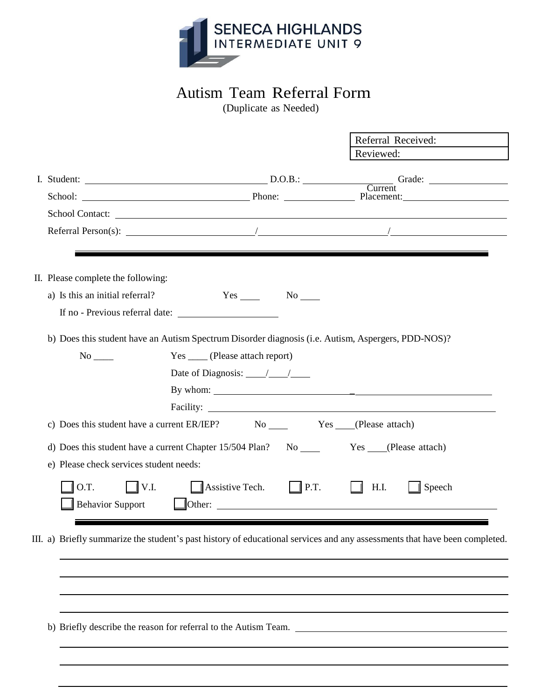

## Autism Team Referral Form

(Duplicate as Needed)

|                                         |                                                                                                                                                                                                                                                                                                                                                                                                                         | Referral Received:    |
|-----------------------------------------|-------------------------------------------------------------------------------------------------------------------------------------------------------------------------------------------------------------------------------------------------------------------------------------------------------------------------------------------------------------------------------------------------------------------------|-----------------------|
|                                         |                                                                                                                                                                                                                                                                                                                                                                                                                         | Reviewed:             |
|                                         |                                                                                                                                                                                                                                                                                                                                                                                                                         |                       |
|                                         | School: Phone: Phone: Phone: Placement:                                                                                                                                                                                                                                                                                                                                                                                 |                       |
|                                         | School Contact:                                                                                                                                                                                                                                                                                                                                                                                                         |                       |
|                                         | Referral Person(s): $\frac{1}{\sqrt{1-\frac{1}{2}}}\left  \frac{1}{2} \right $                                                                                                                                                                                                                                                                                                                                          |                       |
|                                         |                                                                                                                                                                                                                                                                                                                                                                                                                         |                       |
| II. Please complete the following:      |                                                                                                                                                                                                                                                                                                                                                                                                                         |                       |
| a) Is this an initial referral?         | $Yes \_ No \_$                                                                                                                                                                                                                                                                                                                                                                                                          |                       |
|                                         |                                                                                                                                                                                                                                                                                                                                                                                                                         |                       |
|                                         | b) Does this student have an Autism Spectrum Disorder diagnosis (i.e. Autism, Aspergers, PDD-NOS)?                                                                                                                                                                                                                                                                                                                      |                       |
| $No$ <sub>_____</sub>                   | Yes _____ (Please attach report)                                                                                                                                                                                                                                                                                                                                                                                        |                       |
|                                         | Date of Diagnosis: $\frac{\sqrt{2}}{2}$                                                                                                                                                                                                                                                                                                                                                                                 |                       |
|                                         | By whom: $\frac{1}{\sqrt{1-\frac{1}{2}}}\frac{1}{\sqrt{1-\frac{1}{2}}}\frac{1}{\sqrt{1-\frac{1}{2}}}\frac{1}{\sqrt{1-\frac{1}{2}}}\frac{1}{\sqrt{1-\frac{1}{2}}}\frac{1}{\sqrt{1-\frac{1}{2}}}\frac{1}{\sqrt{1-\frac{1}{2}}}\frac{1}{\sqrt{1-\frac{1}{2}}}\frac{1}{\sqrt{1-\frac{1}{2}}}\frac{1}{\sqrt{1-\frac{1}{2}}}\frac{1}{\sqrt{1-\frac{1}{2}}}\frac{1}{\sqrt{1-\frac{1}{2}}}\frac{1}{\sqrt{1-\frac{1}{2}}}\frac{$ |                       |
|                                         |                                                                                                                                                                                                                                                                                                                                                                                                                         |                       |
|                                         | c) Does this student have a current ER/IEP? No No No Nes (Please attach)                                                                                                                                                                                                                                                                                                                                                |                       |
|                                         | d) Does this student have a current Chapter 15/504 Plan? No Yes (Please attach)                                                                                                                                                                                                                                                                                                                                         |                       |
| e) Please check services student needs: |                                                                                                                                                                                                                                                                                                                                                                                                                         |                       |
| O.T.<br>$\Box$ V.I.                     | Assistive Tech. P.T.                                                                                                                                                                                                                                                                                                                                                                                                    | H.I.<br><b>Speech</b> |
| <b>Behavior Support</b>                 | $\Box$ Other:                                                                                                                                                                                                                                                                                                                                                                                                           |                       |
|                                         |                                                                                                                                                                                                                                                                                                                                                                                                                         |                       |
|                                         | III. a) Briefly summarize the student's past history of educational services and any assessments that have been completed.                                                                                                                                                                                                                                                                                              |                       |
|                                         |                                                                                                                                                                                                                                                                                                                                                                                                                         |                       |
|                                         |                                                                                                                                                                                                                                                                                                                                                                                                                         |                       |
|                                         |                                                                                                                                                                                                                                                                                                                                                                                                                         |                       |
|                                         |                                                                                                                                                                                                                                                                                                                                                                                                                         |                       |
|                                         | b) Briefly describe the reason for referral to the Autism Team.                                                                                                                                                                                                                                                                                                                                                         |                       |
|                                         |                                                                                                                                                                                                                                                                                                                                                                                                                         |                       |
|                                         |                                                                                                                                                                                                                                                                                                                                                                                                                         |                       |